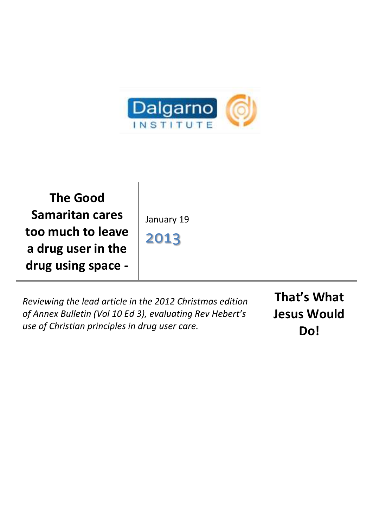

**The Good Samaritan cares too much to leave a drug user in the drug using space -**

January 19

2013

*Reviewing the lead article in the 2012 Christmas edition of Annex Bulletin (Vol 10 Ed 3), evaluating Rev Hebert's use of Christian principles in drug user care.*

**That's What Jesus Would Do!**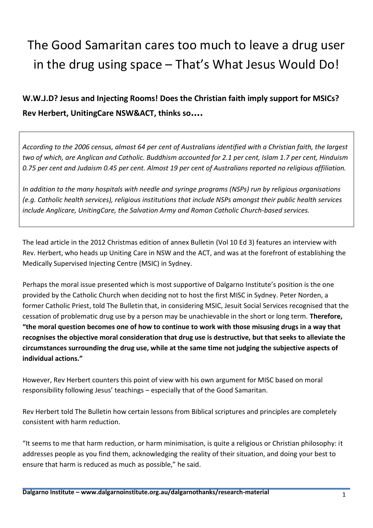## The Good Samaritan cares too much to leave a drug user in the drug using space – That's What Jesus Would Do!

## **W.W.J.D? Jesus and Injecting Rooms! Does the Christian faith imply support for MSICs? Rev Herbert, UnitingCare NSW&ACT, thinks so....**

*According to the 2006 census, almost 64 per cent of Australians identified with a Christian faith, the largest two of which, are Anglican and Catholic. Buddhism accounted for 2.1 per cent, Islam 1.7 per cent, Hinduism 0.75 per cent and Judaism 0.45 per cent. Almost 19 per cent of Australians reported no religious affiliation.*

*In addition to the many hospitals with needle and syringe programs (NSPs) run by religious organisations (e.g. Catholic health services), religious institutions that include NSPs amongst their public health services include Anglicare, UnitingCare, the Salvation Army and Roman Catholic Church-based services.*

The lead article in the 2012 Christmas edition of annex Bulletin (Vol 10 Ed 3) features an interview with Rev. Herbert, who heads up Uniting Care in NSW and the ACT, and was at the forefront of establishing the Medically Supervised Injecting Centre (MSIC) in Sydney.

Perhaps the moral issue presented which is most supportive of Dalgarno Institute's position is the one provided by the Catholic Church when deciding not to host the first MISC in Sydney. Peter Norden, a former Catholic Priest, told The Bulletin that, in considering MSIC, Jesuit Social Services recognised that the cessation of problematic drug use by a person may be unachievable in the short or long term. **Therefore, "the moral question becomes one of how to continue to work with those misusing drugs in a way that recognises the objective moral consideration that drug use is destructive, but that seeks to alleviate the circumstances surrounding the drug use, while at the same time not judging the subjective aspects of individual actions."**

However, Rev Herbert counters this point of view with his own argument for MISC based on moral responsibility following Jesus' teachings – especially that of the Good Samaritan.

Rev Herbert told The Bulletin how certain lessons from Biblical scriptures and principles are completely consistent with harm reduction.

"It seems to me that harm reduction, or harm minimisation, is quite a religious or Christian philosophy: it addresses people as you find them, acknowledging the reality of their situation, and doing your best to ensure that harm is reduced as much as possible," he said.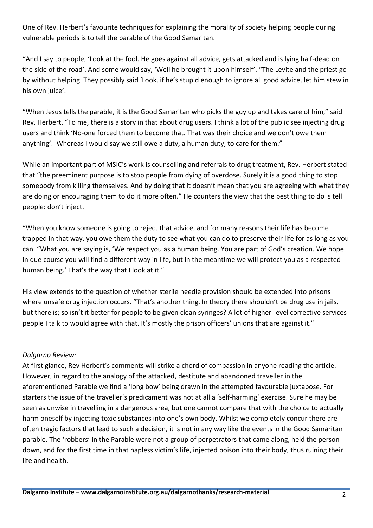One of Rev. Herbert's favourite techniques for explaining the morality of society helping people during vulnerable periods is to tell the parable of the Good Samaritan.

"And I say to people, 'Look at the fool. He goes against all advice, gets attacked and is lying half-dead on the side of the road'. And some would say, 'Well he brought it upon himself'. "The Levite and the priest go by without helping. They possibly said 'Look, if he's stupid enough to ignore all good advice, let him stew in his own juice'.

"When Jesus tells the parable, it is the Good Samaritan who picks the guy up and takes care of him," said Rev. Herbert. "To me, there is a story in that about drug users. I think a lot of the public see injecting drug users and think 'No-one forced them to become that. That was their choice and we don't owe them anything'. Whereas I would say we still owe a duty, a human duty, to care for them."

While an important part of MSIC's work is counselling and referrals to drug treatment, Rev. Herbert stated that "the preeminent purpose is to stop people from dying of overdose. Surely it is a good thing to stop somebody from killing themselves. And by doing that it doesn't mean that you are agreeing with what they are doing or encouraging them to do it more often." He counters the view that the best thing to do is tell people: don't inject.

"When you know someone is going to reject that advice, and for many reasons their life has become trapped in that way, you owe them the duty to see what you can do to preserve their life for as long as you can. "What you are saying is, 'We respect you as a human being. You are part of God's creation. We hope in due course you will find a different way in life, but in the meantime we will protect you as a respected human being.' That's the way that I look at it."

His view extends to the question of whether sterile needle provision should be extended into prisons where unsafe drug injection occurs. "That's another thing. In theory there shouldn't be drug use in jails, but there is; so isn't it better for people to be given clean syringes? A lot of higher-level corrective services people I talk to would agree with that. It's mostly the prison officers' unions that are against it."

## *Dalgarno Review:*

At first glance, Rev Herbert's comments will strike a chord of compassion in anyone reading the article. However, in regard to the analogy of the attacked, destitute and abandoned traveller in the aforementioned Parable we find a 'long bow' being drawn in the attempted favourable juxtapose. For starters the issue of the traveller's predicament was not at all a 'self-harming' exercise. Sure he may be seen as unwise in travelling in a dangerous area, but one cannot compare that with the choice to actually harm oneself by injecting toxic substances into one's own body. Whilst we completely concur there are often tragic factors that lead to such a decision, it is not in any way like the events in the Good Samaritan parable. The 'robbers' in the Parable were not a group of perpetrators that came along, held the person down, and for the first time in that hapless victim's life, injected poison into their body, thus ruining their life and health.